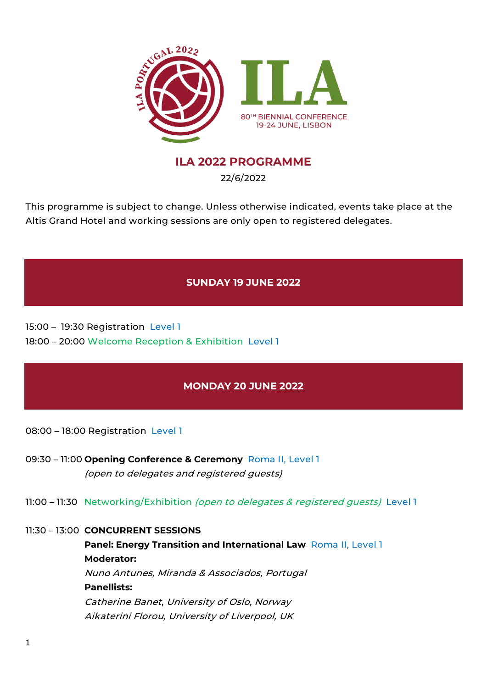

# **ILA 2022 PROGRAMME**

22/6/2022

This programme is subject to change. Unless otherwise indicated, events take place at the Altis Grand Hotel and working sessions are only open to registered delegates.

# **SUNDAY 19 JUNE 2022**

15:00 – 19:30 Registration Level 1 18:00 – 20:00 Welcome Reception & Exhibition Level 1

# **MONDAY 20 JUNE 2022**

08:00 – 18:00 Registration Level 1

- 09:30 11:00 **Opening Conference & Ceremony** Roma II, Level 1 (open to delegates and registered guests)
- 11:00 11:30 Networking/Exhibition (open to delegates & registered guests) Level 1

## 11:30 – 13:00 **CONCURRENT SESSIONS**

**Panel: Energy Transition and International Law Roma II, Level 1 Moderator:** Nuno Antunes, Miranda & Associados, Portugal **Panellists:** Catherine Banet, University of Oslo, Norway Aikaterini Florou, University of Liverpool, UK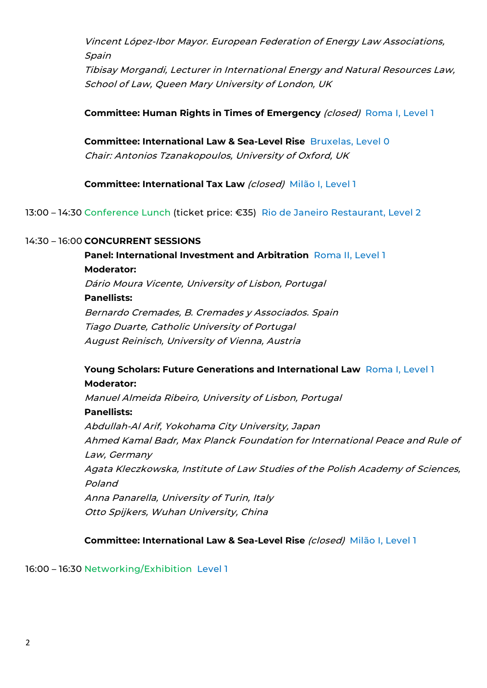Vincent López-Ibor Mayor. European Federation of Energy Law Associations, Spain

Tibisay Morgandi, Lecturer in International Energy and Natural Resources Law, School of Law, Queen Mary University of London, UK

**Committee: Human Rights in Times of Emergency** *(closed)* **Roma I, Level 1</u>** 

**Committee: International Law & Sea-Level Rise** Bruxelas, Level 0 Chair: Antonios Tzanakopoulos, University of Oxford, UK

**Committee: International Tax Law** (closed) Milão I, Level 1

13:00 – 14:30 Conference Lunch (ticket price: €35) Rio de Janeiro Restaurant, Level 2

### 14:30 – 16:00 **CONCURRENT SESSIONS**

**Panel: International Investment and Arbitration** Roma II, Level 1 **Moderator:** Dário Moura Vicente, University of Lisbon, Portugal **Panellists:** Bernardo Cremades, B. Cremades y Associados. Spain Tiago Duarte, Catholic University of Portugal August Reinisch, University of Vienna, Austria

# **Young Scholars: Future Generations and International Law Roma I, Level 1 Moderator:**

Manuel Almeida Ribeiro, University of Lisbon, Portugal **Panellists:** Abdullah-Al Arif, Yokohama City University, Japan Ahmed Kamal Badr, Max Planck Foundation for International Peace and Rule of Law, Germany Agata Kleczkowska, Institute of Law Studies of the Polish Academy of Sciences, Poland Anna Panarella, University of Turin, Italy Otto Spijkers, Wuhan University, China

**Committee: International Law & Sea-Level Rise** (closed) Milão I, Level 1

16:00 – 16:30 Networking/Exhibition Level 1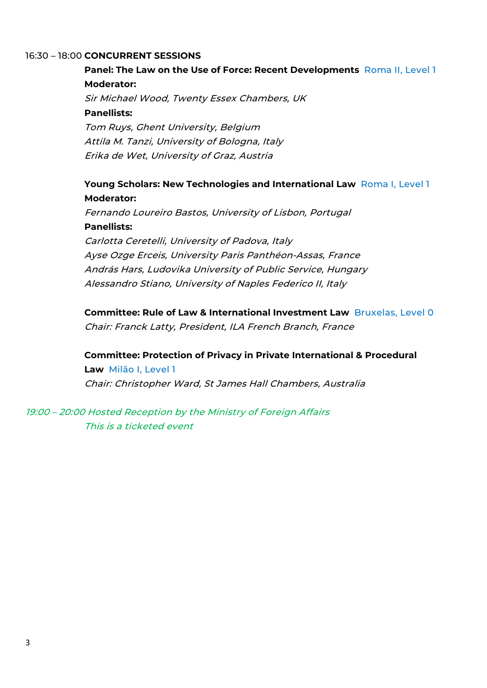### 16:30 – 18:00 **CONCURRENT SESSIONS**

# **Panel: The Law on the Use of Force: Recent Developments** Roma II, Level 1 **Moderator:**

Sir Michael Wood, Twenty Essex Chambers, UK **Panellists:** Tom Ruys, Ghent University, Belgium Attila M. Tanzi, University of Bologna, Italy Erika de Wet, University of Graz, Austria

# **Young Scholars: New Technologies and International Law** Roma I, Level 1 **Moderator:**

Fernando Loureiro Bastos, University of Lisbon, Portugal **Panellists:** Carlotta Ceretelli, University of Padova, Italy Ayse Ozge Erceis, University Paris Panthéon-Assas, France András Hars, Ludovika University of Public Service, Hungary Alessandro Stiano, University of Naples Federico II, Italy

**Committee: Rule of Law & International Investment Law** Bruxelas, Level 0 Chair: Franck Latty, President, ILA French Branch, France

**Committee: Protection of Privacy in Private International & Procedural Law** Milão I, Level 1 Chair: Christopher Ward, St James Hall Chambers, Australia

19:00 – 20:00 Hosted Reception by the Ministry of Foreign Affairs This is a ticketed event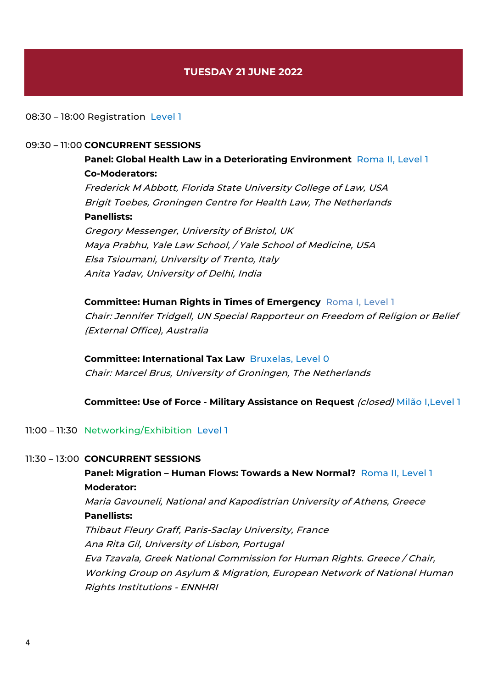# **TUESDAY 21 JUNE 2022**

#### 08:30 – 18:00 Registration Level 1

#### 09:30 – 11:00 **CONCURRENT SESSIONS**

**Panel: Global Health Law in a Deteriorating Environment** Roma II, Level 1 **Co-Moderators:** Frederick M Abbott, Florida State University College of Law, USA Brigit Toebes, Groningen Centre for Health Law, The Netherlands **Panellists:** Gregory Messenger, University of Bristol, UK Maya Prabhu, Yale Law School, / Yale School of Medicine, USA

Elsa Tsioumani, University of Trento, Italy Anita Yadav, University of Delhi, India

# **Committee: Human Rights in Times of Emergency** Roma I, Level 1 Chair: Jennifer Tridgell, UN Special Rapporteur on Freedom of Religion or Belief (External Office), Australia

## **Committee: International Tax Law** Bruxelas, Level 0

Chair: Marcel Brus, University of Groningen, The Netherlands

#### **Committee: Use of Force - Military Assistance on Request** (closed) Milão I,Level 1

#### 11:00 – 11:30 Networking/Exhibition Level 1

#### 11:30 – 13:00 **CONCURRENT SESSIONS**

# **Panel: Migration – Human Flows: Towards a New Normal?** Roma II, Level 1 **Moderator:** Maria Gavouneli, National and Kapodistrian University of Athens, Greece

**Panellists:**

Thibaut Fleury Graff, Paris-Saclay University, France Ana Rita Gil, University of Lisbon, Portugal Eva Tzavala, Greek National Commission for Human Rights. Greece / Chair, Working Group on Asylum & Migration, European Network of National Human Rights Institutions - ENNHRI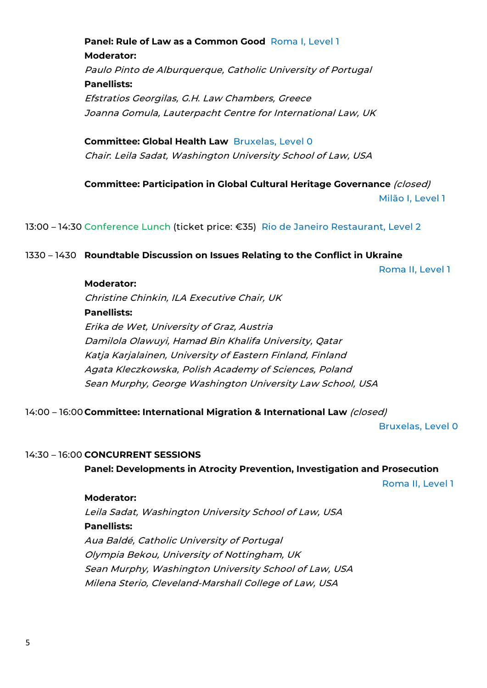**Panel: Rule of Law as a Common Good** Roma I, Level 1 **Moderator:** Paulo Pinto de Alburquerque, Catholic University of Portugal **Panellists:** Efstratios Georgilas, G.H. Law Chambers, Greece Joanna Gomula, Lauterpacht Centre for International Law, UK

**Committee: Global Health Law** Bruxelas, Level 0 Chair: Leila Sadat, Washington University School of Law, USA

**Committee: Participation in Global Cultural Heritage Governance** (closed) Milão I, Level 1

13:00 – 14:30 Conference Lunch (ticket price: €35) Rio de Janeiro Restaurant, Level 2

#### 1330 – 1430 **Roundtable Discussion on Issues Relating to the Conflict in Ukraine**

Roma II, Level 1

### **Moderator:**

Christine Chinkin, ILA Executive Chair, UK **Panellists:** Erika de Wet, University of Graz, Austria Damilola Olawuyi, Hamad Bin Khalifa University, Qatar Katja Karjalainen, University of Eastern Finland, Finland Agata Kleczkowska, Polish Academy of Sciences, Poland Sean Murphy, George Washington University Law School, USA

14:00 – 16:00 **Committee: International Migration & International Law** (closed)

Bruxelas, Level 0

#### 14:30 – 16:00 **CONCURRENT SESSIONS**

**Panel: Developments in Atrocity Prevention, Investigation and Prosecution**

Roma II, Level 1

#### **Moderator:**

Leila Sadat, Washington University School of Law, USA **Panellists:** Aua Baldé, Catholic University of Portugal Olympia Bekou, University of Nottingham, UK Sean Murphy, Washington University School of Law, USA Milena Sterio, Cleveland-Marshall College of Law, USA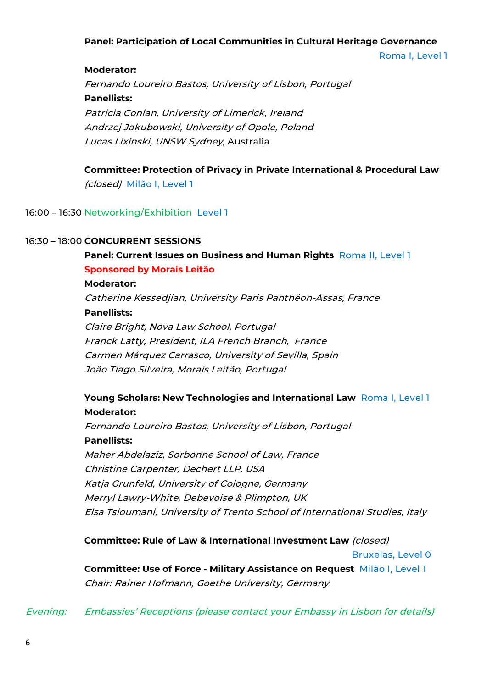## **Panel: Participation of Local Communities in Cultural Heritage Governance**

Roma I, Level 1

**Moderator:**

Fernando Loureiro Bastos, University of Lisbon, Portugal **Panellists:** Patricia Conlan, University of Limerick, Ireland Andrzej Jakubowski, University of Opole, Poland Lucas Lixinski, UNSW Sydney, Australia

**Committee: Protection of Privacy in Private International & Procedural Law**  (closed) Milão I, Level 1

16:00 – 16:30 Networking/Exhibition Level 1

### 16:30 – 18:00 **CONCURRENT SESSIONS**

**Panel: Current Issues on Business and Human Rights Roma II, Level 1 Sponsored by Morais Leitão**

### **Moderator:**

Catherine Kessedjian, University Paris Panthéon-Assas, France **Panellists:** Claire Bright, Nova Law School, Portugal Franck Latty, President, ILA French Branch, France Carmen Márquez Carrasco, University of Sevilla, Spain João Tiago Silveira, Morais Leitão, Portugal

## **Young Scholars: New Technologies and International Law** Roma I, Level 1 **Moderator:**

Fernando Loureiro Bastos, University of Lisbon, Portugal **Panellists:** Maher Abdelaziz, Sorbonne School of Law, France Christine Carpenter, Dechert LLP, USA Katja Grunfeld, University of Cologne, Germany Merryl Lawry-White, Debevoise & Plimpton, UK Elsa Tsioumani, University of Trento School of International Studies, Italy

**Committee: Rule of Law & International Investment Law** (closed)

Bruxelas, Level 0

**Committee: Use of Force - Military Assistance on Request** Milão I, Level 1 Chair: Rainer Hofmann, Goethe University, Germany

Evening: Embassies' Receptions (please contact your Embassy in Lisbon for details)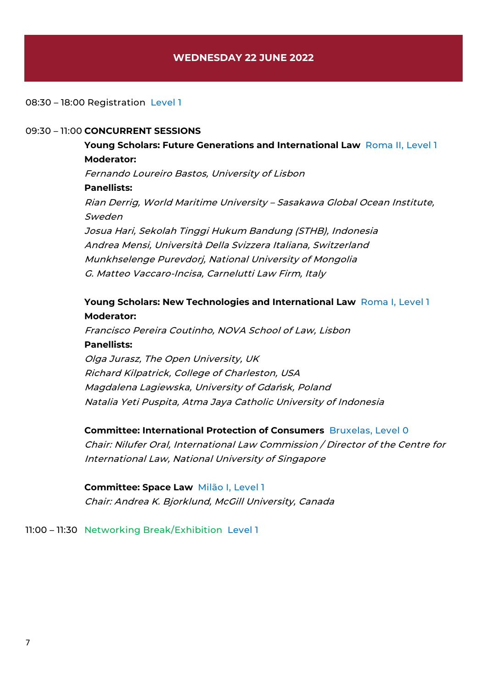## **WEDNESDAY 22 JUNE 2022**

#### 08:30 – 18:00 Registration Level 1

#### 09:30 – 11:00 **CONCURRENT SESSIONS**

**Young Scholars: Future Generations and International Law** Roma II, Level 1 **Moderator:** Fernando Loureiro Bastos, University of Lisbon **Panellists:** Rian Derrig, World Maritime University – Sasakawa Global Ocean Institute, Sweden Josua Hari, Sekolah Tinggi Hukum Bandung (STHB), Indonesia Andrea Mensi, Università Della Svizzera Italiana, Switzerland Munkhselenge Purevdorj, National University of Mongolia G. Matteo Vaccaro-Incisa, Carnelutti Law Firm, Italy

# **Young Scholars: New Technologies and International Law** Roma I, Level 1 **Moderator:**

Francisco Pereira Coutinho, NOVA School of Law, Lisbon **Panellists:** Olga Jurasz, The Open University, UK

Richard Kilpatrick, College of Charleston, USA Magdalena Lagiewska, University of Gdańsk, Poland Natalia Yeti Puspita, Atma Jaya Catholic University of Indonesia

#### **Committee: International Protection of Consumers** Bruxelas, Level 0

Chair: Nilufer Oral, International Law Commission / Director of the Centre for International Law, National University of Singapore

**Committee: Space Law** Milão I, Level 1 Chair: Andrea K. Bjorklund, McGill University, Canada

11:00 – 11:30 Networking Break/Exhibition Level 1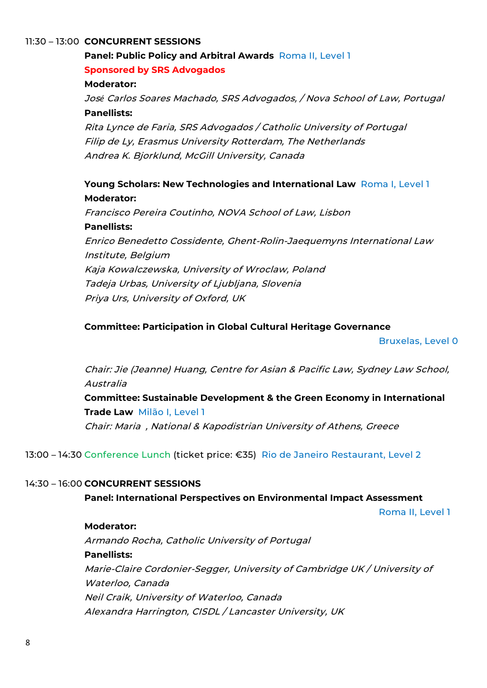### 11:30 – 13:00 **CONCURRENT SESSIONS**

# **Panel: Public Policy and Arbitral Awards** Roma II, Level 1 **Sponsored by SRS Advogados**

### **Moderator:**

Jos*é* Carlos Soares Machado, SRS Advogados, / Nova School of Law, Portugal **Panellists:**

Rita Lynce de Faria, SRS Advogados / Catholic University of Portugal Filip de Ly, Erasmus University Rotterdam, The Netherlands Andrea K. Bjorklund, McGill University, Canada

# **Young Scholars: New Technologies and International Law** Roma I, Level 1 **Moderator:**

Francisco Pereira Coutinho, NOVA School of Law, Lisbon **Panellists:** Enrico Benedetto Cossidente, Ghent-Rolin-Jaequemyns International Law Institute, Belgium Kaja Kowalczewska, University of Wroclaw, Poland Tadeja Urbas, University of Ljubljana, Slovenia Priya Urs, University of Oxford, UK

## **Committee: Participation in Global Cultural Heritage Governance**

Bruxelas, Level 0

Chair: Jie (Jeanne) Huang, Centre for Asian & Pacific Law, Sydney Law School, Australia

**Committee: Sustainable Development & the Green Economy in International Trade Law** Milão I, Level 1 Chair: Maria , National & Kapodistrian University of Athens, Greece

13:00 – 14:30 Conference Lunch (ticket price: €35) Rio de Janeiro Restaurant, Level 2

### 14:30 – 16:00 **CONCURRENT SESSIONS**

**Panel: International Perspectives on Environmental Impact Assessment**

Roma II, Level 1

#### **Moderator:**

Armando Rocha, Catholic University of Portugal **Panellists:** Marie-Claire Cordonier-Segger, University of Cambridge UK / University of Waterloo, Canada Neil Craik, University of Waterloo, Canada Alexandra Harrington, CISDL / Lancaster University, UK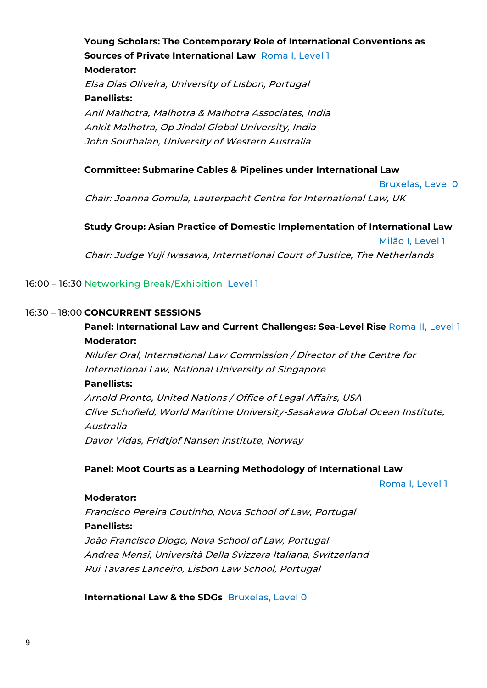**Young Scholars: The Contemporary Role of International Conventions as Sources of Private International Law** Roma I, Level 1 **Moderator:** Elsa Dias Oliveira, University of Lisbon, Portugal **Panellists:** Anil Malhotra, Malhotra & Malhotra Associates, India Ankit Malhotra, Op Jindal Global University, India John Southalan, University of Western Australia

### **Committee: Submarine Cables & Pipelines under International Law**

Bruxelas, Level 0

Chair: Joanna Gomula, Lauterpacht Centre for International Law, UK

**Study Group: Asian Practice of Domestic Implementation of International Law**  Milão I, Level 1 Chair: Judge Yuji Iwasawa, International Court of Justice, The Netherlands

### 16:00 – 16:30 Networking Break/Exhibition Level 1

#### 16:30 – 18:00 **CONCURRENT SESSIONS**

# **Panel: International Law and Current Challenges: Sea-Level Rise** Roma II, Level 1 **Moderator:**

Nilufer Oral, International Law Commission / Director of the Centre for International Law, National University of Singapore

#### **Panellists:**

Arnold Pronto, United Nations / Office of Legal Affairs, USA Clive Schofield, World Maritime University-Sasakawa Global Ocean Institute, Australia Davor Vidas, Fridtjof Nansen Institute, Norway

#### **Panel: Moot Courts as a Learning Methodology of International Law**

Roma I, Level 1

#### **Moderator:**

Francisco Pereira Coutinho, Nova School of Law, Portugal **Panellists:** João Francisco Diogo, Nova School of Law, Portugal Andrea Mensi, Università Della Svizzera Italiana, Switzerland Rui Tavares Lanceiro, Lisbon Law School, Portugal

**International Law & the SDGs** Bruxelas, Level 0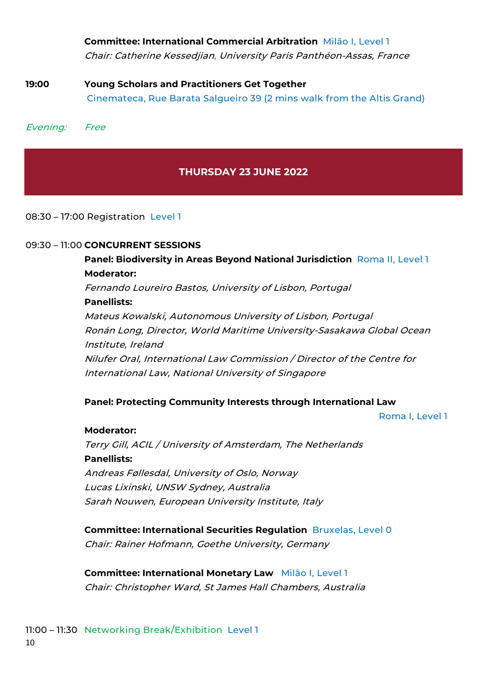**Committee: International Commercial Arbitration** Milão I, Level 1 Chair: Catherine Kessedjian, University Paris Panthéon-Assas, France

**19:00 Young Scholars and Practitioners Get Together** Cinemateca, Rue Barata Salgueiro 39 (2 mins walk from the Altis Grand)

Evening: Free

# **THURSDAY 23 JUNE 2022**

08:30 – 17:00 Registration Level 1

### 09:30 – 11:00 **CONCURRENT SESSIONS**

**Panel: Biodiversity in Areas Beyond National Jurisdiction** Roma II, Level 1 **Moderator:** Fernando Loureiro Bastos, University of Lisbon, Portugal **Panellists:** Mateus Kowalski, Autonomous University of Lisbon, Portugal Ronán Long, Director, World Maritime University-Sasakawa Global Ocean Institute, Ireland Nilufer Oral, International Law Commission / Director of the Centre for International Law, National University of Singapore

### **Panel: Protecting Community Interests through International Law**

Roma I, Level 1

# **Moderator:**

Terry Gill, ACIL / University of Amsterdam, The Netherlands **Panellists:** Andreas Føllesdal, University of Oslo, Norway Lucas Lixinski, UNSW Sydney, Australia Sarah Nouwen, European University Institute, Italy

**Committee: International Securities Regulation** Bruxelas, Level 0 Chair: Rainer Hofmann, Goethe University, Germany

**Committee: International Monetary Law** Milão I, Level 1 Chair: Christopher Ward, St James Hall Chambers, Australia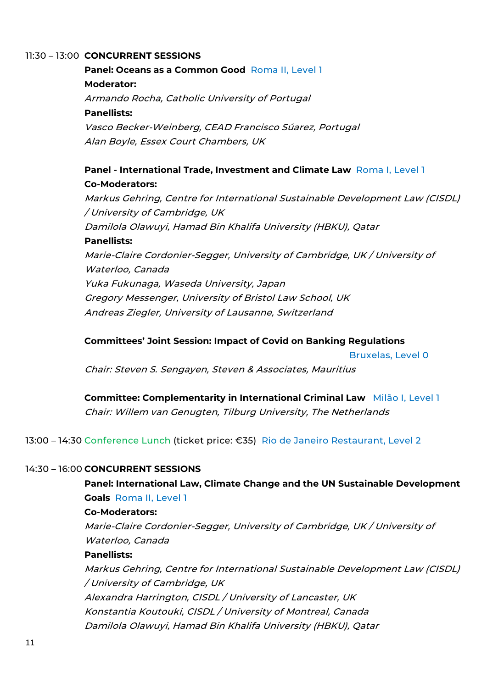### 11:30 – 13:00 **CONCURRENT SESSIONS**

**Panel: Oceans as a Common Good** Roma II, Level 1 **Moderator:** Armando Rocha, Catholic University of Portugal **Panellists:** Vasco Becker-Weinberg, CEAD Francisco Súarez, Portugal Alan Boyle, Essex Court Chambers, UK

# **Panel - International Trade, Investment and Climate Law** Roma I, Level 1 **Co-Moderators:**

Markus Gehring, Centre for International Sustainable Development Law (CISDL) / University of Cambridge, UK Damilola Olawuyi, Hamad Bin Khalifa University (HBKU), Qatar **Panellists:** Marie-Claire Cordonier-Segger, University of Cambridge, UK / University of Waterloo, Canada Yuka Fukunaga, Waseda University, Japan Gregory Messenger, University of Bristol Law School, UK Andreas Ziegler, University of Lausanne, Switzerland

### **Committees' Joint Session: Impact of Covid on Banking Regulations**

Bruxelas, Level 0

Chair: Steven S. Sengayen, Steven & Associates, Mauritius

**Committee: Complementarity in International Criminal Law** Milão I, Level 1 Chair: Willem van Genugten, Tilburg University, The Netherlands

13:00 – 14:30 Conference Lunch (ticket price: €35) Rio de Janeiro Restaurant, Level 2

### 14:30 – 16:00 **CONCURRENT SESSIONS**

**Panel: International Law, Climate Change and the UN Sustainable Development Goals** Roma II, Level 1

#### **Co-Moderators:**

Marie-Claire Cordonier-Segger, University of Cambridge, UK / University of Waterloo, Canada

### **Panellists:**

Markus Gehring, Centre for International Sustainable Development Law (CISDL) / University of Cambridge, UK Alexandra Harrington, CISDL / University of Lancaster, UK Konstantia Koutouki, CISDL / University of Montreal, Canada Damilola Olawuyi, Hamad Bin Khalifa University (HBKU), Qatar